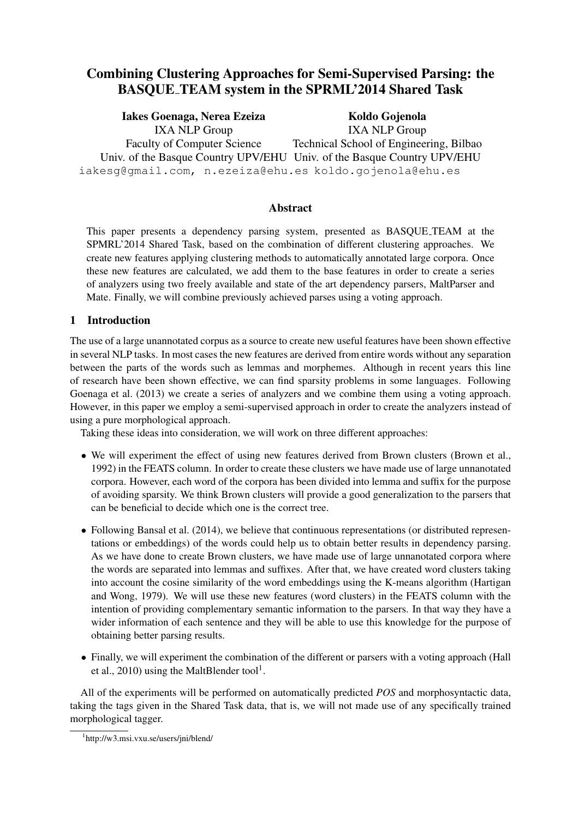# Combining Clustering Approaches for Semi-Supervised Parsing: the BASQUE TEAM system in the SPRML'2014 Shared Task

Iakes Goenaga, Nerea Ezeiza IXA NLP Group Faculty of Computer Science Univ. of the Basque Country UPV/EHU Univ. of the Basque Country UPV/EHU iakesg@gmail.com, n.ezeiza@ehu.es koldo.gojenola@ehu.es Koldo Gojenola IXA NLP Group Technical School of Engineering, Bilbao

## Abstract

This paper presents a dependency parsing system, presented as BASQUE TEAM at the SPMRL'2014 Shared Task, based on the combination of different clustering approaches. We create new features applying clustering methods to automatically annotated large corpora. Once these new features are calculated, we add them to the base features in order to create a series of analyzers using two freely available and state of the art dependency parsers, MaltParser and Mate. Finally, we will combine previously achieved parses using a voting approach.

## 1 Introduction

The use of a large unannotated corpus as a source to create new useful features have been shown effective in several NLP tasks. In most cases the new features are derived from entire words without any separation between the parts of the words such as lemmas and morphemes. Although in recent years this line of research have been shown effective, we can find sparsity problems in some languages. Following Goenaga et al. (2013) we create a series of analyzers and we combine them using a voting approach. However, in this paper we employ a semi-supervised approach in order to create the analyzers instead of using a pure morphological approach.

Taking these ideas into consideration, we will work on three different approaches:

- We will experiment the effect of using new features derived from Brown clusters (Brown et al., 1992) in the FEATS column. In order to create these clusters we have made use of large unnanotated corpora. However, each word of the corpora has been divided into lemma and suffix for the purpose of avoiding sparsity. We think Brown clusters will provide a good generalization to the parsers that can be beneficial to decide which one is the correct tree.
- Following Bansal et al. (2014), we believe that continuous representations (or distributed representations or embeddings) of the words could help us to obtain better results in dependency parsing. As we have done to create Brown clusters, we have made use of large unnanotated corpora where the words are separated into lemmas and suffixes. After that, we have created word clusters taking into account the cosine similarity of the word embeddings using the K-means algorithm (Hartigan and Wong, 1979). We will use these new features (word clusters) in the FEATS column with the intention of providing complementary semantic information to the parsers. In that way they have a wider information of each sentence and they will be able to use this knowledge for the purpose of obtaining better parsing results.
- Finally, we will experiment the combination of the different or parsers with a voting approach (Hall et al., 2010) using the MaltBlender tool<sup>1</sup>.

All of the experiments will be performed on automatically predicted *POS* and morphosyntactic data, taking the tags given in the Shared Task data, that is, we will not made use of any specifically trained morphological tagger.

<sup>1</sup> http://w3.msi.vxu.se/users/jni/blend/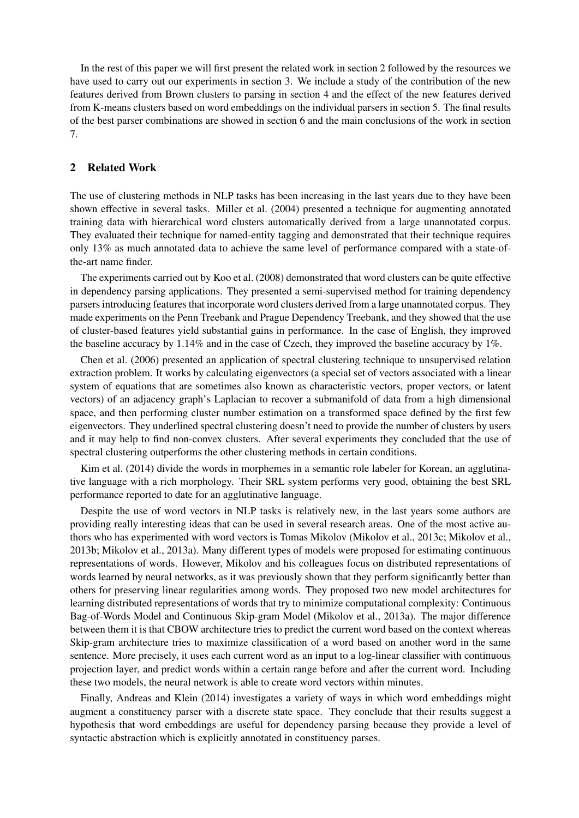In the rest of this paper we will first present the related work in section 2 followed by the resources we have used to carry out our experiments in section 3. We include a study of the contribution of the new features derived from Brown clusters to parsing in section 4 and the effect of the new features derived from K-means clusters based on word embeddings on the individual parsers in section 5. The final results of the best parser combinations are showed in section 6 and the main conclusions of the work in section 7.

## 2 Related Work

The use of clustering methods in NLP tasks has been increasing in the last years due to they have been shown effective in several tasks. Miller et al. (2004) presented a technique for augmenting annotated training data with hierarchical word clusters automatically derived from a large unannotated corpus. They evaluated their technique for named-entity tagging and demonstrated that their technique requires only 13% as much annotated data to achieve the same level of performance compared with a state-ofthe-art name finder.

The experiments carried out by Koo et al. (2008) demonstrated that word clusters can be quite effective in dependency parsing applications. They presented a semi-supervised method for training dependency parsers introducing features that incorporate word clusters derived from a large unannotated corpus. They made experiments on the Penn Treebank and Prague Dependency Treebank, and they showed that the use of cluster-based features yield substantial gains in performance. In the case of English, they improved the baseline accuracy by 1.14% and in the case of Czech, they improved the baseline accuracy by 1%.

Chen et al. (2006) presented an application of spectral clustering technique to unsupervised relation extraction problem. It works by calculating eigenvectors (a special set of vectors associated with a linear system of equations that are sometimes also known as characteristic vectors, proper vectors, or latent vectors) of an adjacency graph's Laplacian to recover a submanifold of data from a high dimensional space, and then performing cluster number estimation on a transformed space defined by the first few eigenvectors. They underlined spectral clustering doesn't need to provide the number of clusters by users and it may help to find non-convex clusters. After several experiments they concluded that the use of spectral clustering outperforms the other clustering methods in certain conditions.

Kim et al. (2014) divide the words in morphemes in a semantic role labeler for Korean, an agglutinative language with a rich morphology. Their SRL system performs very good, obtaining the best SRL performance reported to date for an agglutinative language.

Despite the use of word vectors in NLP tasks is relatively new, in the last years some authors are providing really interesting ideas that can be used in several research areas. One of the most active authors who has experimented with word vectors is Tomas Mikolov (Mikolov et al., 2013c; Mikolov et al., 2013b; Mikolov et al., 2013a). Many different types of models were proposed for estimating continuous representations of words. However, Mikolov and his colleagues focus on distributed representations of words learned by neural networks, as it was previously shown that they perform significantly better than others for preserving linear regularities among words. They proposed two new model architectures for learning distributed representations of words that try to minimize computational complexity: Continuous Bag-of-Words Model and Continuous Skip-gram Model (Mikolov et al., 2013a). The major difference between them it is that CBOW architecture tries to predict the current word based on the context whereas Skip-gram architecture tries to maximize classification of a word based on another word in the same sentence. More precisely, it uses each current word as an input to a log-linear classifier with continuous projection layer, and predict words within a certain range before and after the current word. Including these two models, the neural network is able to create word vectors within minutes.

Finally, Andreas and Klein (2014) investigates a variety of ways in which word embeddings might augment a constituency parser with a discrete state space. They conclude that their results suggest a hypothesis that word embeddings are useful for dependency parsing because they provide a level of syntactic abstraction which is explicitly annotated in constituency parses.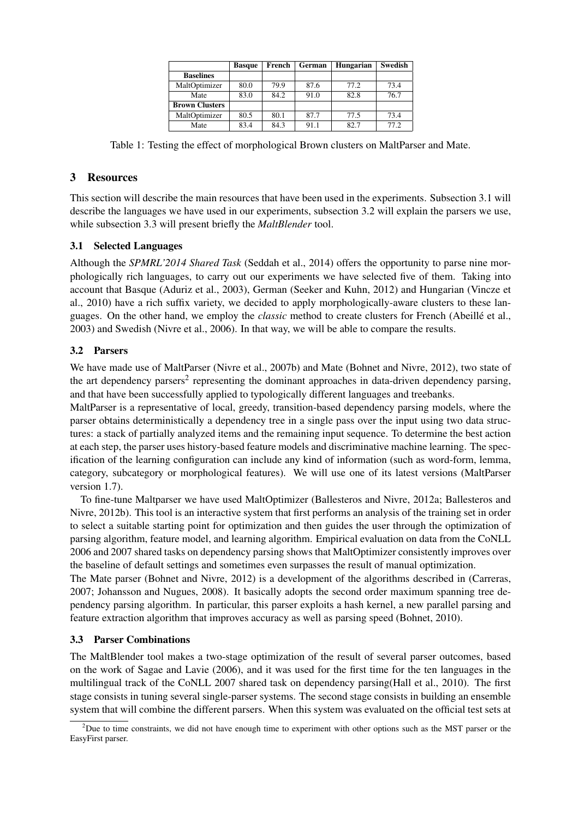|                       | <b>Basque</b> | French | German | Hungarian | Swedish |
|-----------------------|---------------|--------|--------|-----------|---------|
| <b>Baselines</b>      |               |        |        |           |         |
| MaltOptimizer         | 80.0          | 79.9   | 87.6   | 77.2      | 73.4    |
| Mate                  | 83.0          | 84.2   | 91.0   | 82.8      | 76.7    |
| <b>Brown Clusters</b> |               |        |        |           |         |
| MaltOptimizer         | 80.5          | 80.1   | 87.7   | 77.5      | 73.4    |
| Mate                  | 83.4          | 84.3   | 91.1   | 82.7      | 77.2    |

Table 1: Testing the effect of morphological Brown clusters on MaltParser and Mate.

## 3 Resources

This section will describe the main resources that have been used in the experiments. Subsection 3.1 will describe the languages we have used in our experiments, subsection 3.2 will explain the parsers we use, while subsection 3.3 will present briefly the *MaltBlender* tool.

## 3.1 Selected Languages

Although the *SPMRL'2014 Shared Task* (Seddah et al., 2014) offers the opportunity to parse nine morphologically rich languages, to carry out our experiments we have selected five of them. Taking into account that Basque (Aduriz et al., 2003), German (Seeker and Kuhn, 2012) and Hungarian (Vincze et al., 2010) have a rich suffix variety, we decided to apply morphologically-aware clusters to these languages. On the other hand, we employ the *classic* method to create clusters for French (Abeille et al., ´ 2003) and Swedish (Nivre et al., 2006). In that way, we will be able to compare the results.

## 3.2 Parsers

We have made use of MaltParser (Nivre et al., 2007b) and Mate (Bohnet and Nivre, 2012), two state of the art dependency parsers<sup>2</sup> representing the dominant approaches in data-driven dependency parsing, and that have been successfully applied to typologically different languages and treebanks.

MaltParser is a representative of local, greedy, transition-based dependency parsing models, where the parser obtains deterministically a dependency tree in a single pass over the input using two data structures: a stack of partially analyzed items and the remaining input sequence. To determine the best action at each step, the parser uses history-based feature models and discriminative machine learning. The specification of the learning configuration can include any kind of information (such as word-form, lemma, category, subcategory or morphological features). We will use one of its latest versions (MaltParser version 1.7).

To fine-tune Maltparser we have used MaltOptimizer (Ballesteros and Nivre, 2012a; Ballesteros and Nivre, 2012b). This tool is an interactive system that first performs an analysis of the training set in order to select a suitable starting point for optimization and then guides the user through the optimization of parsing algorithm, feature model, and learning algorithm. Empirical evaluation on data from the CoNLL 2006 and 2007 shared tasks on dependency parsing shows that MaltOptimizer consistently improves over the baseline of default settings and sometimes even surpasses the result of manual optimization.

The Mate parser (Bohnet and Nivre, 2012) is a development of the algorithms described in (Carreras, 2007; Johansson and Nugues, 2008). It basically adopts the second order maximum spanning tree dependency parsing algorithm. In particular, this parser exploits a hash kernel, a new parallel parsing and feature extraction algorithm that improves accuracy as well as parsing speed (Bohnet, 2010).

## 3.3 Parser Combinations

The MaltBlender tool makes a two-stage optimization of the result of several parser outcomes, based on the work of Sagae and Lavie (2006), and it was used for the first time for the ten languages in the multilingual track of the CoNLL 2007 shared task on dependency parsing(Hall et al., 2010). The first stage consists in tuning several single-parser systems. The second stage consists in building an ensemble system that will combine the different parsers. When this system was evaluated on the official test sets at

 $2$ Due to time constraints, we did not have enough time to experiment with other options such as the MST parser or the EasyFirst parser.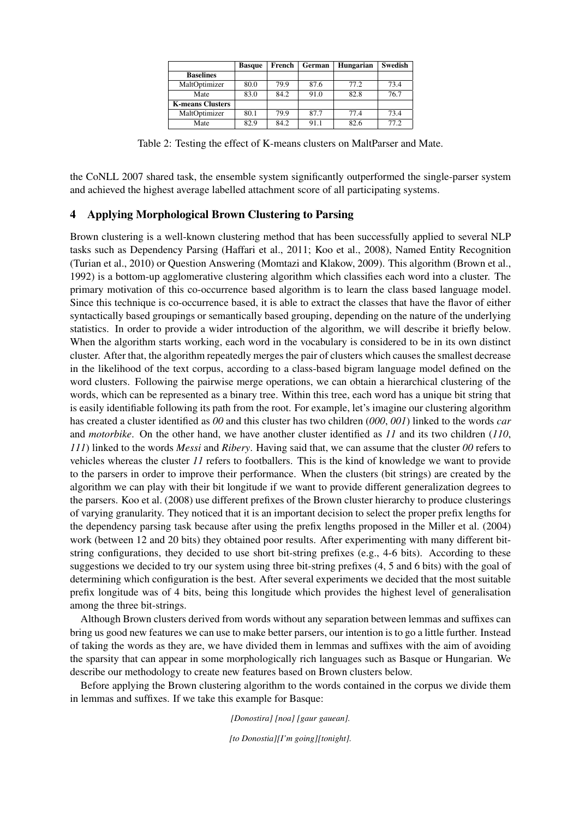|                         | <b>Basque</b> | French | German | Hungarian | <b>Swedish</b> |
|-------------------------|---------------|--------|--------|-----------|----------------|
| <b>Baselines</b>        |               |        |        |           |                |
| MaltOptimizer           | 80.0          | 79.9   | 87.6   | 77.2      | 73.4           |
| Mate                    | 83.0          | 84.2   | 91.0   | 82.8      | 76.7           |
| <b>K-means Clusters</b> |               |        |        |           |                |
| MaltOptimizer           | 80.1          | 79.9   | 87.7   | 77.4      | 73.4           |
| Mate                    | 82.9          | 84.2   | 91.1   | 82.6      | 77.2           |

Table 2: Testing the effect of K-means clusters on MaltParser and Mate.

the CoNLL 2007 shared task, the ensemble system significantly outperformed the single-parser system and achieved the highest average labelled attachment score of all participating systems.

### 4 Applying Morphological Brown Clustering to Parsing

Brown clustering is a well-known clustering method that has been successfully applied to several NLP tasks such as Dependency Parsing (Haffari et al., 2011; Koo et al., 2008), Named Entity Recognition (Turian et al., 2010) or Question Answering (Momtazi and Klakow, 2009). This algorithm (Brown et al., 1992) is a bottom-up agglomerative clustering algorithm which classifies each word into a cluster. The primary motivation of this co-occurrence based algorithm is to learn the class based language model. Since this technique is co-occurrence based, it is able to extract the classes that have the flavor of either syntactically based groupings or semantically based grouping, depending on the nature of the underlying statistics. In order to provide a wider introduction of the algorithm, we will describe it briefly below. When the algorithm starts working, each word in the vocabulary is considered to be in its own distinct cluster. After that, the algorithm repeatedly merges the pair of clusters which causes the smallest decrease in the likelihood of the text corpus, according to a class-based bigram language model defined on the word clusters. Following the pairwise merge operations, we can obtain a hierarchical clustering of the words, which can be represented as a binary tree. Within this tree, each word has a unique bit string that is easily identifiable following its path from the root. For example, let's imagine our clustering algorithm has created a cluster identified as *00* and this cluster has two children (*000*, *001*) linked to the words *car* and *motorbike*. On the other hand, we have another cluster identified as *11* and its two children (*110*, *111*) linked to the words *Messi* and *Ribery*. Having said that, we can assume that the cluster *00* refers to vehicles whereas the cluster *11* refers to footballers. This is the kind of knowledge we want to provide to the parsers in order to improve their performance. When the clusters (bit strings) are created by the algorithm we can play with their bit longitude if we want to provide different generalization degrees to the parsers. Koo et al. (2008) use different prefixes of the Brown cluster hierarchy to produce clusterings of varying granularity. They noticed that it is an important decision to select the proper prefix lengths for the dependency parsing task because after using the prefix lengths proposed in the Miller et al. (2004) work (between 12 and 20 bits) they obtained poor results. After experimenting with many different bitstring configurations, they decided to use short bit-string prefixes (e.g., 4-6 bits). According to these suggestions we decided to try our system using three bit-string prefixes (4, 5 and 6 bits) with the goal of determining which configuration is the best. After several experiments we decided that the most suitable prefix longitude was of 4 bits, being this longitude which provides the highest level of generalisation among the three bit-strings.

Although Brown clusters derived from words without any separation between lemmas and suffixes can bring us good new features we can use to make better parsers, our intention is to go a little further. Instead of taking the words as they are, we have divided them in lemmas and suffixes with the aim of avoiding the sparsity that can appear in some morphologically rich languages such as Basque or Hungarian. We describe our methodology to create new features based on Brown clusters below.

Before applying the Brown clustering algorithm to the words contained in the corpus we divide them in lemmas and suffixes. If we take this example for Basque:

*[Donostira] [noa] [gaur gauean].*

*[to Donostia][I'm going][tonight].*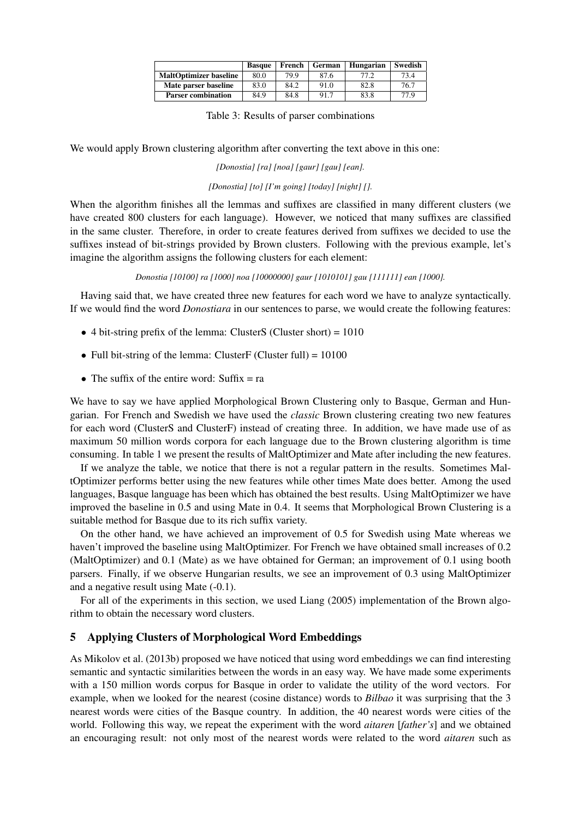|                               | <b>Basque</b> | French | German | Hungarian | Swedish |
|-------------------------------|---------------|--------|--------|-----------|---------|
| <b>MaltOptimizer baseline</b> | 80.0          | 79.9   | 87.6   | 77.2      | 73.4    |
| Mate parser baseline          | 83.0          | 84.2   | 91.0   | 82.8      | 76.7    |
| <b>Parser combination</b>     | 84.9          | 84.8   | 91.7   | 83.8      | 77.9    |

We would apply Brown clustering algorithm after converting the text above in this one:

*[Donostia] [ra] [noa] [gaur] [gau] [ean].*

*[Donostia] [to] [I'm going] [today] [night] [].*

When the algorithm finishes all the lemmas and suffixes are classified in many different clusters (we have created 800 clusters for each language). However, we noticed that many suffixes are classified in the same cluster. Therefore, in order to create features derived from suffixes we decided to use the suffixes instead of bit-strings provided by Brown clusters. Following with the previous example, let's imagine the algorithm assigns the following clusters for each element:

#### *Donostia [10100] ra [1000] noa [10000000] gaur [1010101] gau [111111] ean [1000].*

Having said that, we have created three new features for each word we have to analyze syntactically. If we would find the word *Donostiara* in our sentences to parse, we would create the following features:

- $\bullet$  4 bit-string prefix of the lemma: ClusterS (Cluster short) = 1010
- Full bit-string of the lemma: ClusterF (Cluster full) =  $10100$
- The suffix of the entire word: Suffix  $=$  ra

We have to say we have applied Morphological Brown Clustering only to Basque, German and Hungarian. For French and Swedish we have used the *classic* Brown clustering creating two new features for each word (ClusterS and ClusterF) instead of creating three. In addition, we have made use of as maximum 50 million words corpora for each language due to the Brown clustering algorithm is time consuming. In table 1 we present the results of MaltOptimizer and Mate after including the new features.

If we analyze the table, we notice that there is not a regular pattern in the results. Sometimes MaltOptimizer performs better using the new features while other times Mate does better. Among the used languages, Basque language has been which has obtained the best results. Using MaltOptimizer we have improved the baseline in 0.5 and using Mate in 0.4. It seems that Morphological Brown Clustering is a suitable method for Basque due to its rich suffix variety.

On the other hand, we have achieved an improvement of 0.5 for Swedish using Mate whereas we haven't improved the baseline using MaltOptimizer. For French we have obtained small increases of 0.2 (MaltOptimizer) and 0.1 (Mate) as we have obtained for German; an improvement of 0.1 using booth parsers. Finally, if we observe Hungarian results, we see an improvement of 0.3 using MaltOptimizer and a negative result using Mate (-0.1).

For all of the experiments in this section, we used Liang (2005) implementation of the Brown algorithm to obtain the necessary word clusters.

#### 5 Applying Clusters of Morphological Word Embeddings

As Mikolov et al. (2013b) proposed we have noticed that using word embeddings we can find interesting semantic and syntactic similarities between the words in an easy way. We have made some experiments with a 150 million words corpus for Basque in order to validate the utility of the word vectors. For example, when we looked for the nearest (cosine distance) words to *Bilbao* it was surprising that the 3 nearest words were cities of the Basque country. In addition, the 40 nearest words were cities of the world. Following this way, we repeat the experiment with the word *aitaren* [*father's*] and we obtained an encouraging result: not only most of the nearest words were related to the word *aitaren* such as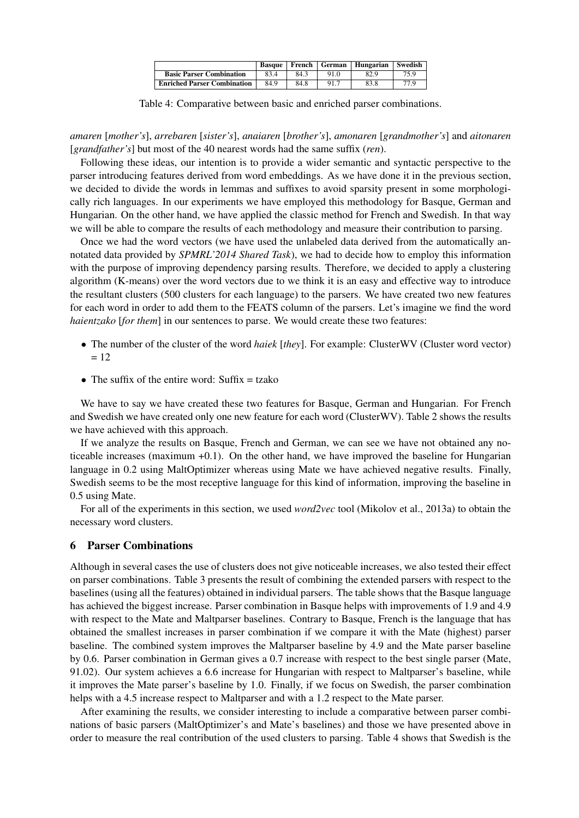|                                    | Basque | French | German | Hungarian | Swedish |
|------------------------------------|--------|--------|--------|-----------|---------|
| <b>Basic Parser Combination</b>    | 83.4   | 84.3   | 91.0   | 82.9      | 75.9    |
| <b>Enriched Parser Combination</b> | 84.9   | 84.8   | 91.7   | 83.8      | 77.9    |

Table 4: Comparative between basic and enriched parser combinations.

*amaren* [*mother's*], *arrebaren* [*sister's*], *anaiaren* [*brother's*], *amonaren* [*grandmother's*] and *aitonaren* [*grandfather's*] but most of the 40 nearest words had the same suffix (*ren*).

Following these ideas, our intention is to provide a wider semantic and syntactic perspective to the parser introducing features derived from word embeddings. As we have done it in the previous section, we decided to divide the words in lemmas and suffixes to avoid sparsity present in some morphologically rich languages. In our experiments we have employed this methodology for Basque, German and Hungarian. On the other hand, we have applied the classic method for French and Swedish. In that way we will be able to compare the results of each methodology and measure their contribution to parsing.

Once we had the word vectors (we have used the unlabeled data derived from the automatically annotated data provided by *SPMRL'2014 Shared Task*), we had to decide how to employ this information with the purpose of improving dependency parsing results. Therefore, we decided to apply a clustering algorithm (K-means) over the word vectors due to we think it is an easy and effective way to introduce the resultant clusters (500 clusters for each language) to the parsers. We have created two new features for each word in order to add them to the FEATS column of the parsers. Let's imagine we find the word *haientzako* [*for them*] in our sentences to parse. We would create these two features:

- The number of the cluster of the word *haiek* [*they*]. For example: ClusterWV (Cluster word vector)  $= 12$
- The suffix of the entire word:  $\text{Suffix} = \text{tzako}$

We have to say we have created these two features for Basque, German and Hungarian. For French and Swedish we have created only one new feature for each word (ClusterWV). Table 2 shows the results we have achieved with this approach.

If we analyze the results on Basque, French and German, we can see we have not obtained any noticeable increases (maximum +0.1). On the other hand, we have improved the baseline for Hungarian language in 0.2 using MaltOptimizer whereas using Mate we have achieved negative results. Finally, Swedish seems to be the most receptive language for this kind of information, improving the baseline in 0.5 using Mate.

For all of the experiments in this section, we used *word2vec* tool (Mikolov et al., 2013a) to obtain the necessary word clusters.

#### 6 Parser Combinations

Although in several cases the use of clusters does not give noticeable increases, we also tested their effect on parser combinations. Table 3 presents the result of combining the extended parsers with respect to the baselines (using all the features) obtained in individual parsers. The table shows that the Basque language has achieved the biggest increase. Parser combination in Basque helps with improvements of 1.9 and 4.9 with respect to the Mate and Maltparser baselines. Contrary to Basque, French is the language that has obtained the smallest increases in parser combination if we compare it with the Mate (highest) parser baseline. The combined system improves the Maltparser baseline by 4.9 and the Mate parser baseline by 0.6. Parser combination in German gives a 0.7 increase with respect to the best single parser (Mate, 91.02). Our system achieves a 6.6 increase for Hungarian with respect to Maltparser's baseline, while it improves the Mate parser's baseline by 1.0. Finally, if we focus on Swedish, the parser combination helps with a 4.5 increase respect to Maltparser and with a 1.2 respect to the Mate parser.

After examining the results, we consider interesting to include a comparative between parser combinations of basic parsers (MaltOptimizer's and Mate's baselines) and those we have presented above in order to measure the real contribution of the used clusters to parsing. Table 4 shows that Swedish is the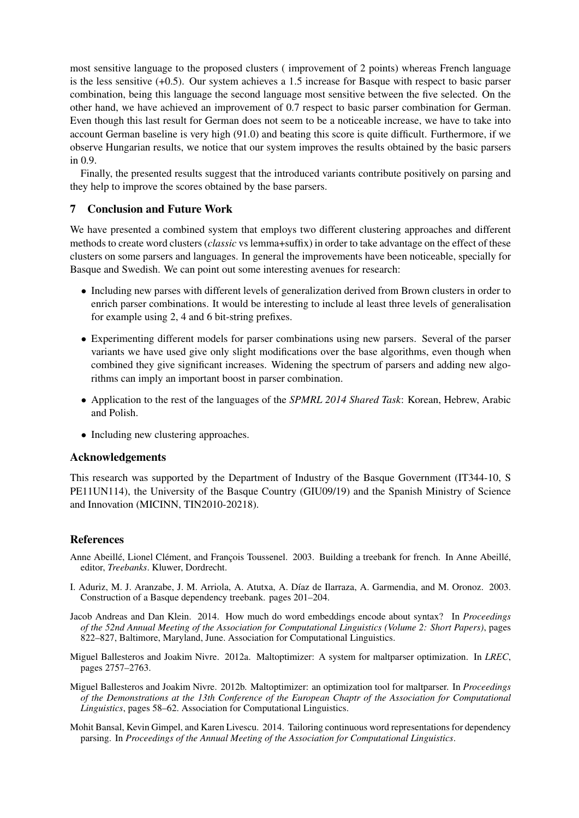most sensitive language to the proposed clusters ( improvement of 2 points) whereas French language is the less sensitive (+0.5). Our system achieves a 1.5 increase for Basque with respect to basic parser combination, being this language the second language most sensitive between the five selected. On the other hand, we have achieved an improvement of 0.7 respect to basic parser combination for German. Even though this last result for German does not seem to be a noticeable increase, we have to take into account German baseline is very high (91.0) and beating this score is quite difficult. Furthermore, if we observe Hungarian results, we notice that our system improves the results obtained by the basic parsers in 0.9.

Finally, the presented results suggest that the introduced variants contribute positively on parsing and they help to improve the scores obtained by the base parsers.

## 7 Conclusion and Future Work

We have presented a combined system that employs two different clustering approaches and different methods to create word clusters (*classic* vs lemma+suffix) in order to take advantage on the effect of these clusters on some parsers and languages. In general the improvements have been noticeable, specially for Basque and Swedish. We can point out some interesting avenues for research:

- Including new parses with different levels of generalization derived from Brown clusters in order to enrich parser combinations. It would be interesting to include al least three levels of generalisation for example using 2, 4 and 6 bit-string prefixes.
- Experimenting different models for parser combinations using new parsers. Several of the parser variants we have used give only slight modifications over the base algorithms, even though when combined they give significant increases. Widening the spectrum of parsers and adding new algorithms can imply an important boost in parser combination.
- Application to the rest of the languages of the *SPMRL 2014 Shared Task*: Korean, Hebrew, Arabic and Polish.
- Including new clustering approaches.

### Acknowledgements

This research was supported by the Department of Industry of the Basque Government (IT344-10, S PE11UN114), the University of the Basque Country (GIU09/19) and the Spanish Ministry of Science and Innovation (MICINN, TIN2010-20218).

#### References

- Anne Abeillé, Lionel Clément, and François Toussenel. 2003. Building a treebank for french. In Anne Abeillé, editor, *Treebanks*. Kluwer, Dordrecht.
- I. Aduriz, M. J. Aranzabe, J. M. Arriola, A. Atutxa, A. D´ıaz de Ilarraza, A. Garmendia, and M. Oronoz. 2003. Construction of a Basque dependency treebank. pages 201–204.
- Jacob Andreas and Dan Klein. 2014. How much do word embeddings encode about syntax? In *Proceedings of the 52nd Annual Meeting of the Association for Computational Linguistics (Volume 2: Short Papers)*, pages 822–827, Baltimore, Maryland, June. Association for Computational Linguistics.
- Miguel Ballesteros and Joakim Nivre. 2012a. Maltoptimizer: A system for maltparser optimization. In *LREC*, pages 2757–2763.
- Miguel Ballesteros and Joakim Nivre. 2012b. Maltoptimizer: an optimization tool for maltparser. In *Proceedings of the Demonstrations at the 13th Conference of the European Chaptr of the Association for Computational Linguistics*, pages 58–62. Association for Computational Linguistics.
- Mohit Bansal, Kevin Gimpel, and Karen Livescu. 2014. Tailoring continuous word representations for dependency parsing. In *Proceedings of the Annual Meeting of the Association for Computational Linguistics*.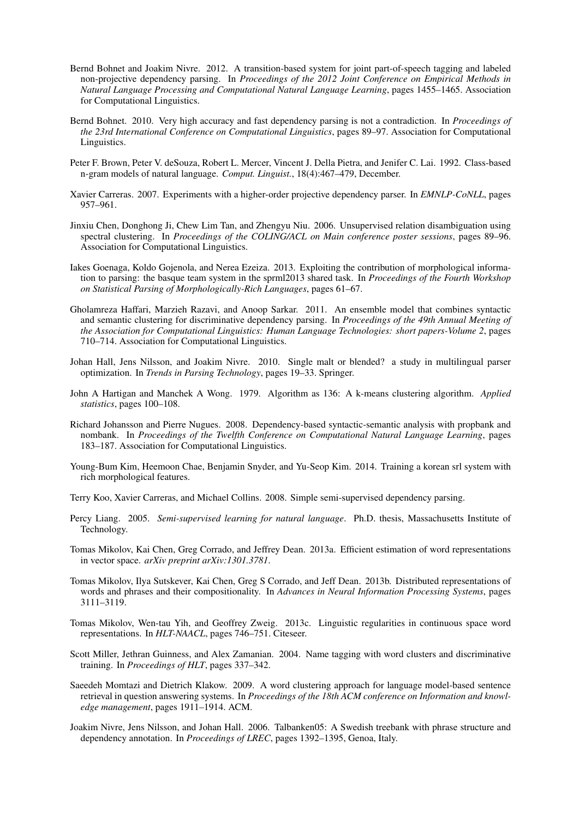- Bernd Bohnet and Joakim Nivre. 2012. A transition-based system for joint part-of-speech tagging and labeled non-projective dependency parsing. In *Proceedings of the 2012 Joint Conference on Empirical Methods in Natural Language Processing and Computational Natural Language Learning*, pages 1455–1465. Association for Computational Linguistics.
- Bernd Bohnet. 2010. Very high accuracy and fast dependency parsing is not a contradiction. In *Proceedings of the 23rd International Conference on Computational Linguistics*, pages 89–97. Association for Computational Linguistics.
- Peter F. Brown, Peter V. deSouza, Robert L. Mercer, Vincent J. Della Pietra, and Jenifer C. Lai. 1992. Class-based n-gram models of natural language. *Comput. Linguist.*, 18(4):467–479, December.
- Xavier Carreras. 2007. Experiments with a higher-order projective dependency parser. In *EMNLP-CoNLL*, pages 957–961.
- Jinxiu Chen, Donghong Ji, Chew Lim Tan, and Zhengyu Niu. 2006. Unsupervised relation disambiguation using spectral clustering. In *Proceedings of the COLING/ACL on Main conference poster sessions*, pages 89–96. Association for Computational Linguistics.
- Iakes Goenaga, Koldo Gojenola, and Nerea Ezeiza. 2013. Exploiting the contribution of morphological information to parsing: the basque team system in the sprml2013 shared task. In *Proceedings of the Fourth Workshop on Statistical Parsing of Morphologically-Rich Languages*, pages 61–67.
- Gholamreza Haffari, Marzieh Razavi, and Anoop Sarkar. 2011. An ensemble model that combines syntactic and semantic clustering for discriminative dependency parsing. In *Proceedings of the 49th Annual Meeting of the Association for Computational Linguistics: Human Language Technologies: short papers-Volume 2*, pages 710–714. Association for Computational Linguistics.
- Johan Hall, Jens Nilsson, and Joakim Nivre. 2010. Single malt or blended? a study in multilingual parser optimization. In *Trends in Parsing Technology*, pages 19–33. Springer.
- John A Hartigan and Manchek A Wong. 1979. Algorithm as 136: A k-means clustering algorithm. *Applied statistics*, pages 100–108.
- Richard Johansson and Pierre Nugues. 2008. Dependency-based syntactic-semantic analysis with propbank and nombank. In *Proceedings of the Twelfth Conference on Computational Natural Language Learning*, pages 183–187. Association for Computational Linguistics.
- Young-Bum Kim, Heemoon Chae, Benjamin Snyder, and Yu-Seop Kim. 2014. Training a korean srl system with rich morphological features.
- Terry Koo, Xavier Carreras, and Michael Collins. 2008. Simple semi-supervised dependency parsing.
- Percy Liang. 2005. *Semi-supervised learning for natural language*. Ph.D. thesis, Massachusetts Institute of Technology.
- Tomas Mikolov, Kai Chen, Greg Corrado, and Jeffrey Dean. 2013a. Efficient estimation of word representations in vector space. *arXiv preprint arXiv:1301.3781*.
- Tomas Mikolov, Ilya Sutskever, Kai Chen, Greg S Corrado, and Jeff Dean. 2013b. Distributed representations of words and phrases and their compositionality. In *Advances in Neural Information Processing Systems*, pages 3111–3119.
- Tomas Mikolov, Wen-tau Yih, and Geoffrey Zweig. 2013c. Linguistic regularities in continuous space word representations. In *HLT-NAACL*, pages 746–751. Citeseer.
- Scott Miller, Jethran Guinness, and Alex Zamanian. 2004. Name tagging with word clusters and discriminative training. In *Proceedings of HLT*, pages 337–342.
- Saeedeh Momtazi and Dietrich Klakow. 2009. A word clustering approach for language model-based sentence retrieval in question answering systems. In *Proceedings of the 18th ACM conference on Information and knowledge management*, pages 1911–1914. ACM.
- Joakim Nivre, Jens Nilsson, and Johan Hall. 2006. Talbanken05: A Swedish treebank with phrase structure and dependency annotation. In *Proceedings of LREC*, pages 1392–1395, Genoa, Italy.